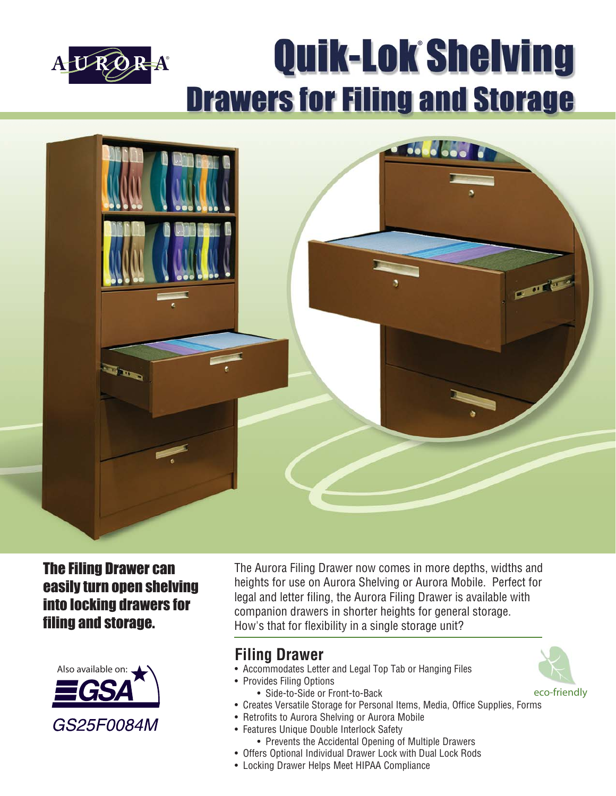

# **Quik-Lok Shelving Drawers for Filing and Storage**



## The Filing Drawer can easily turn open shelving into locking drawers for filing and storage.



The Aurora Filing Drawer now comes in more depths, widths and heights for use on Aurora Shelving or Aurora Mobile. Perfect for legal and letter filing, the Aurora Filing Drawer is available with companion drawers in shorter heights for general storage. How's that for flexibility in a single storage unit?

# **Filing Drawer**

- Accommodates Letter and Legal Top Tab or Hanging Files
- Provides Filing Options
- Side-to-Side or Front-to-Back
- Creates Versatile Storage for Personal Items, Media, Office Supplies, Forms
- Retrofits to Aurora Shelving or Aurora Mobile
- Features Unique Double Interlock Safety • Prevents the Accidental Opening of Multiple Drawers
- Offers Optional Individual Drawer Lock with Dual Lock Rods
- Locking Drawer Helps Meet HIPAA Compliance